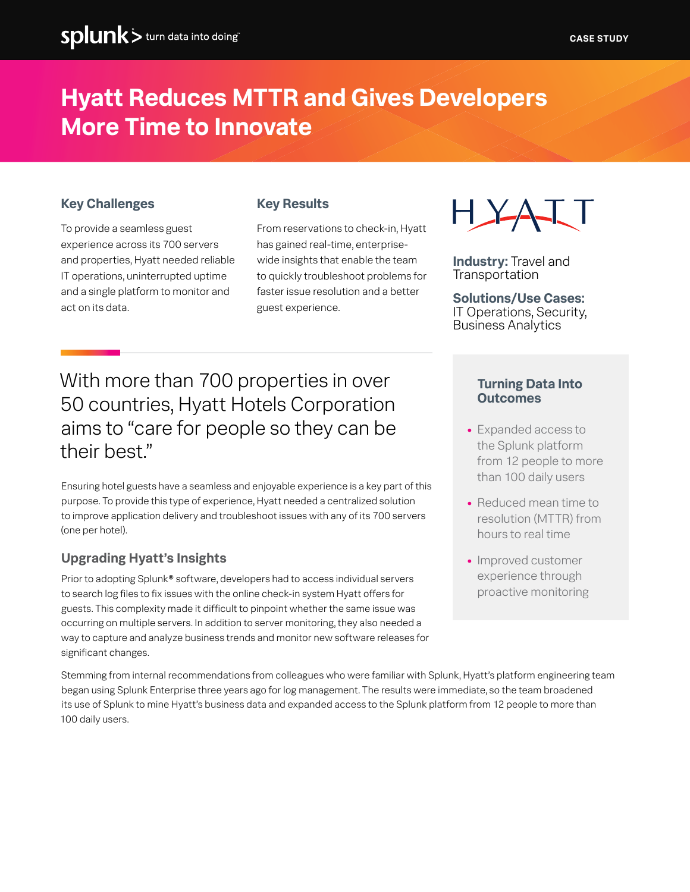# **Hyatt Reduces MTTR and Gives Developers More Time to Innovate**

## **Key Challenges**

To provide a seamless guest experience across its 700 servers and properties, Hyatt needed reliable IT operations, uninterrupted uptime and a single platform to monitor and act on its data.

## **Key Results**

From reservations to check-in, Hyatt has gained real-time, enterprisewide insights that enable the team to quickly troubleshoot problems for faster issue resolution and a better guest experience.



**Industry:** Travel and **Transportation** 

**Solutions/Use Cases:** IT Operations, Security, Business Analytics

With more than 700 properties in over 50 countries, Hyatt Hotels Corporation aims to "care for people so they can be their best."

Ensuring hotel guests have a seamless and enjoyable experience is a key part of this purpose. To provide this type of experience, Hyatt needed a centralized solution to improve application delivery and troubleshoot issues with any of its 700 servers (one per hotel).

# **Upgrading Hyatt's Insights**

Prior to adopting Splunk® software, developers had to access individual servers to search log files to fix issues with the online check-in system Hyatt offers for guests. This complexity made it difficult to pinpoint whether the same issue was occurring on multiple servers. In addition to server monitoring, they also needed a way to capture and analyze business trends and monitor new software releases for significant changes.

#### **Turning Data Into Outcomes**

- **•** Expanded access to the Splunk platform from 12 people to more than 100 daily users
- **•** Reduced mean time to resolution (MTTR) from hours to real time
- **•** Improved customer experience through proactive monitoring

Stemming from internal recommendations from colleagues who were familiar with Splunk, Hyatt's platform engineering team began using Splunk Enterprise three years ago for log management. The results were immediate, so the team broadened its use of Splunk to mine Hyatt's business data and expanded access to the Splunk platform from 12 people to more than 100 daily users.